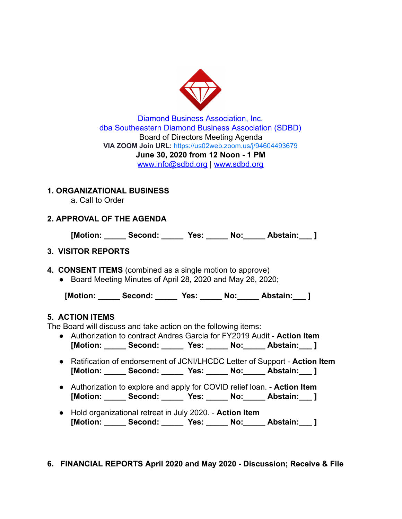

Diamond Business Association, Inc. dba Southeastern Diamond Business Association (SDBD) Board of Directors Meeting Agenda **VIA ZOOM Join URL:** <https://us02web.zoom.us/j/94604493679> **June 30, 2020 from 12 Noon - 1 PM**  www.info@sdbd.org | [www.sdbd.org](http://www.sdbd.org/)

# **1. ORGANIZATIONAL BUSINESS**

a. Call to Order

# **2. APPROVAL OF THE AGENDA**

**[Motion: \_\_\_\_\_ Second: \_\_\_\_\_ Yes: \_\_\_\_\_ No:\_\_\_\_\_ Abstain:\_\_\_ ]** 

# **3. VISITOR REPORTS**

- **4. CONSENT ITEMS** (combined as a single motion to approve)
	- Board Meeting Minutes of April 28, 2020 and May 26, 2020;

 **[Motion: \_\_\_\_\_ Second: \_\_\_\_\_ Yes: \_\_\_\_\_ No:\_\_\_\_\_ Abstain:\_\_\_ ]** 

## **5. ACTION ITEMS**

The Board will discuss and take action on the following items:

- Authorization to contract Andres Garcia for FY2019 Audit **Action Item [Motion: \_\_\_\_\_ Second: \_\_\_\_\_ Yes: \_\_\_\_\_ No:\_\_\_\_\_ Abstain:\_\_\_ ]**
- Ratification of endorsement of JCNI/LHCDC Letter of Support **Action Item [Motion: \_\_\_\_\_ Second: \_\_\_\_\_ Yes: \_\_\_\_\_ No:\_\_\_\_\_ Abstain:\_\_\_ ]**
- Authorization to explore and apply for COVID relief loan. **Action Item [Motion: \_\_\_\_\_ Second: \_\_\_\_\_ Yes: \_\_\_\_\_ No:\_\_\_\_\_ Abstain:\_\_\_ ]**
- Hold organizational retreat in July 2020. **Action Item [Motion: \_\_\_\_\_ Second: \_\_\_\_\_ Yes: \_\_\_\_\_ No:\_\_\_\_\_ Abstain:\_\_\_ ]**

## **6. FINANCIAL REPORTS April 2020 and May 2020 - Discussion; Receive & File**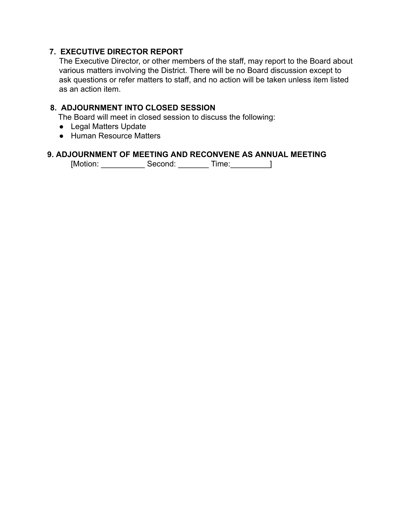#### **7. EXECUTIVE DIRECTOR REPORT**

The Executive Director, or other members of the staff, may report to the Board about various matters involving the District. There will be no Board discussion except to ask questions or refer matters to staff, and no action will be taken unless item listed as an action item.

#### **8. ADJOURNMENT INTO CLOSED SESSION**

The Board will meet in closed session to discuss the following:

- Legal Matters Update
- Human Resource Matters

#### **9. ADJOURNMENT OF MEETING AND RECONVENE AS ANNUAL MEETING**

[Motion: \_\_\_\_\_\_\_\_\_\_ Second: \_\_\_\_\_\_\_ Time:\_\_\_\_\_\_\_\_\_]